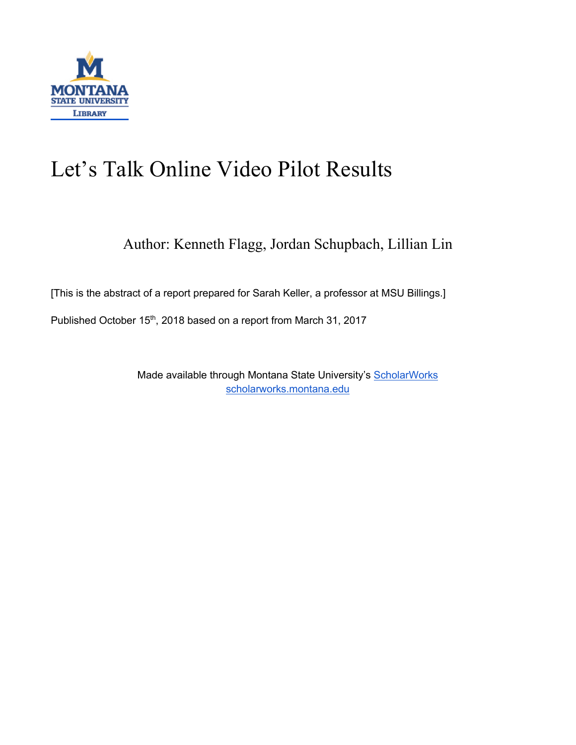

## Let's Talk Online Video Pilot Results

Author: Kenneth Flagg, Jordan Schupbach, Lillian Lin

[This is the abstract of a report prepared for Sarah Keller, a professor at MSU Billings.]

Published October 15<sup>th</sup>, 2018 based on a report from March 31, 2017

Made available through Montana State University's ScholarWorks scholarworks.montana.edu